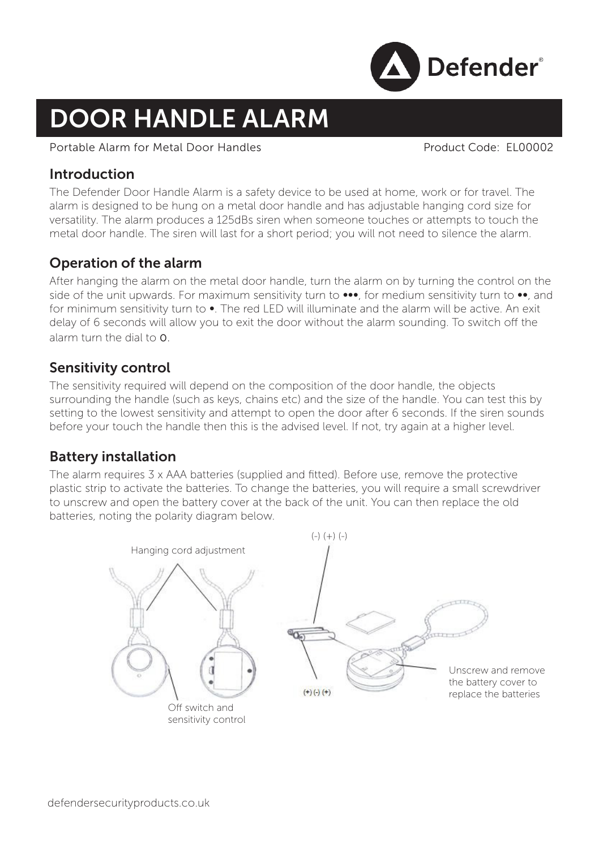

# DOOR HANDLE ALARM

#### Portable Alarm for Metal Door Handles Product Code: EL00002

## Introduction

The Defender Door Handle Alarm is a safety device to be used at home, work or for travel. The alarm is designed to be hung on a metal door handle and has adjustable hanging cord size for versatility. The alarm produces a 125dBs siren when someone touches or attempts to touch the metal door handle. The siren will last for a short period; you will not need to silence the alarm.

# Operation of the alarm

After hanging the alarm on the metal door handle, turn the alarm on by turning the control on the side of the unit upwards. For maximum sensitivity turn to •••, for medium sensitivity turn to ••, and for minimum sensitivity turn to •. The red LED will illuminate and the alarm will be active. An exit delay of 6 seconds will allow you to exit the door without the alarm sounding. To switch off the alarm turn the dial to 0.

## Sensitivity control

The sensitivity required will depend on the composition of the door handle, the objects surrounding the handle (such as keys, chains etc) and the size of the handle. You can test this by setting to the lowest sensitivity and attempt to open the door after 6 seconds. If the siren sounds before your touch the handle then this is the advised level. If not, try again at a higher level.

## Battery installation

The alarm requires 3 x AAA batteries (supplied and fitted). Before use, remove the protective plastic strip to activate the batteries. To change the batteries, you will require a small screwdriver to unscrew and open the battery cover at the back of the unit. You can then replace the old batteries, noting the polarity diagram below.